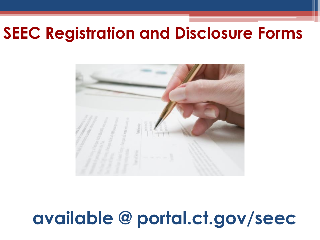## **SEEC Registration and Disclosure Forms**



# **available @ portal.ct.gov/seec**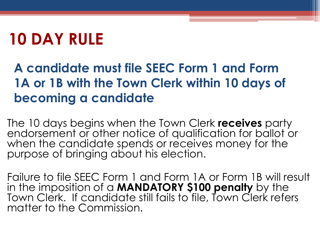# **10 DAY RULE**

### **A candidate must file SEEC Form 1 and Form 1A or 1B with the Town Clerk within 10 days of becoming a candidate**

The 10 days begins when the Town Clerk **receives** party endorsement or other notice of qualification for ballot or when the candidate spends or receives money for the purpose of bringing about his election.

Failure to file SEEC Form 1 and Form 1A or Form 1B will result in the imposition of a **MANDATORY \$100 penalty** by the Town Clerk. If candidate still fails to file, Town Clerk refers matter to the Commission.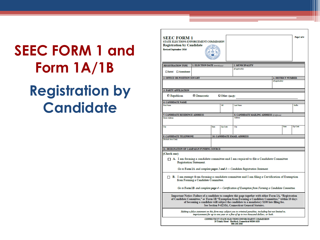# **SEEC FORM 1 and Form 1A/1B Registration by Candidate**

| <b>SEEC FORM 1</b><br>STATE ELECTIONS ENFORCEMENT COMMISSION<br><b>Registration by Candidate</b><br><b>Revised September 2016</b>             |       |                 |                                                                                                                                                                                                                                                                                                                                                                                                                                                                           |                 |                           | Page 1 of 4     |
|-----------------------------------------------------------------------------------------------------------------------------------------------|-------|-----------------|---------------------------------------------------------------------------------------------------------------------------------------------------------------------------------------------------------------------------------------------------------------------------------------------------------------------------------------------------------------------------------------------------------------------------------------------------------------------------|-----------------|---------------------------|-----------------|
| 1. ELECTION DATE (mm/dd/yyyy)<br><b>REGISTRATION TYPE</b>                                                                                     |       |                 | 2. MUNICIPALITY                                                                                                                                                                                                                                                                                                                                                                                                                                                           |                 |                           |                 |
| □ Initial □ Amendment                                                                                                                         |       |                 | (If applicable)                                                                                                                                                                                                                                                                                                                                                                                                                                                           |                 |                           |                 |
| 3. OFFICE OR POSITION SOUGHT                                                                                                                  |       |                 |                                                                                                                                                                                                                                                                                                                                                                                                                                                                           |                 | <b>4. DISTRICT NUMBER</b> |                 |
|                                                                                                                                               |       |                 |                                                                                                                                                                                                                                                                                                                                                                                                                                                                           | (If applicable) |                           |                 |
| <b>5. PARTY AFFILIATION</b>                                                                                                                   |       |                 |                                                                                                                                                                                                                                                                                                                                                                                                                                                                           |                 |                           |                 |
|                                                                                                                                               |       |                 |                                                                                                                                                                                                                                                                                                                                                                                                                                                                           |                 |                           |                 |
| Democratic<br>$\Box$ Republican                                                                                                               |       | Other (Specify) |                                                                                                                                                                                                                                                                                                                                                                                                                                                                           |                 |                           |                 |
| <b>6. CANDIDATE NAME</b>                                                                                                                      |       |                 |                                                                                                                                                                                                                                                                                                                                                                                                                                                                           |                 |                           | Suffly          |
| <b>First Name</b>                                                                                                                             |       | м               | <b>Last Name</b>                                                                                                                                                                                                                                                                                                                                                                                                                                                          |                 |                           |                 |
| 7. CANDIDATE RESIDENCE ADDRESS                                                                                                                |       |                 | <b>8. CANDIDATE MAILING ADDRESS (If different)</b>                                                                                                                                                                                                                                                                                                                                                                                                                        |                 |                           |                 |
| <b>Street Address</b>                                                                                                                         |       |                 | <b>Address</b>                                                                                                                                                                                                                                                                                                                                                                                                                                                            |                 |                           |                 |
| City                                                                                                                                          | State | <b>Zip Code</b> | City                                                                                                                                                                                                                                                                                                                                                                                                                                                                      |                 | State                     | <b>Zip Code</b> |
| 9. CANDIDATE TELEPHONE                                                                                                                        |       |                 | <b>10. CANDIDATE EMAIL ADDRESS</b>                                                                                                                                                                                                                                                                                                                                                                                                                                        |                 |                           |                 |
| (Include Area Code)                                                                                                                           |       |                 |                                                                                                                                                                                                                                                                                                                                                                                                                                                                           |                 |                           |                 |
| 11. DESIGNATION OF CAMPAIGN FUNDING SOURCE                                                                                                    |       |                 |                                                                                                                                                                                                                                                                                                                                                                                                                                                                           |                 |                           |                 |
| (Check one)<br>$\Box$ A. I am forming a candidate committee and I am required to file a Candidate Committee<br><b>Registration Statement.</b> |       |                 | Go to Form $1A$ and complete pages 2 and $3$ — Candidate Registration Statement.                                                                                                                                                                                                                                                                                                                                                                                          |                 |                           |                 |
| $\Box$ B. I am exempt from forming a candidate committee and I am filing a Certification of Exemption<br>from Forming a Candidate Committee.  |       |                 |                                                                                                                                                                                                                                                                                                                                                                                                                                                                           |                 |                           |                 |
|                                                                                                                                               |       |                 | Go to Form IB and complete page 4 - Certification of Exemption from Forming a Candidate Committee.<br>Important Notice: Failure of a candidate to complete this page together with either Form 1A, "Registration<br>of Candidate Committee," or Form 1B "Exemption from Forming a Candidate Committee," within 10 days<br>of becoming a candidate will subject the candidate to a mandatory \$100 late filing fee.<br>See Section 9-623(b), Connecticut General Statutes. |                 |                           |                 |
|                                                                                                                                               |       |                 | Making a false statement on this form may subject you to criminal penalties, including but not limited to,<br>imprisonment for up to one year or a fine of up to two thousand dollars, or both.                                                                                                                                                                                                                                                                           |                 |                           |                 |
|                                                                                                                                               |       |                 | <b>CONNECTICUT STATE ELECTIONS ENFORCEMENT COMMISSION</b><br>20 Trinity Street · Hartford, Connecticut 06106-1628<br>860 256 2940                                                                                                                                                                                                                                                                                                                                         |                 |                           |                 |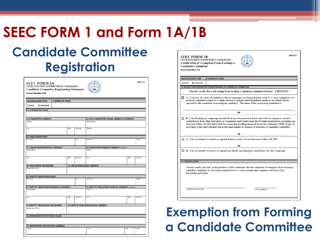### **SEEC FORM 1 and Form 1A/1B**

### **Candidate Committee Registration**

| <b>SEEC FORM 1A</b><br>STATE ELECTIONS ENFORCEMENT COMMISSION<br><b>Candidate Committee Registration Statement</b> |                       |              |          |                                                     |  | Page 2 of 4 |          |
|--------------------------------------------------------------------------------------------------------------------|-----------------------|--------------|----------|-----------------------------------------------------|--|-------------|----------|
| <b>Revised September 2016</b>                                                                                      |                       |              |          |                                                     |  |             |          |
| REGISTRATION TYPE                                                                                                  | <b>CANDIDATE NAME</b> |              |          |                                                     |  |             |          |
| <b>Initial</b><br>□ Amendment                                                                                      |                       |              |          |                                                     |  |             |          |
| 12. COMMITTEE NAME                                                                                                 |                       |              |          |                                                     |  |             |          |
|                                                                                                                    |                       |              |          |                                                     |  |             |          |
| <b>13. COMMITTEE ADDRESS</b>                                                                                       |                       |              |          | 14. & 15. COMMITTEE EMAIL ADDRESS & WEBSITE         |  |             |          |
| Address                                                                                                            |                       |              |          | <b>Email Address</b>                                |  |             |          |
| City                                                                                                               |                       | <b>State</b> | Zip Code | <b>Website</b>                                      |  |             |          |
|                                                                                                                    |                       |              |          |                                                     |  |             |          |
| <b>16. TREASURER NAME</b><br><b>First Name</b>                                                                     |                       |              | MI       | <b>Last Name</b>                                    |  |             | Suffix   |
|                                                                                                                    |                       |              |          |                                                     |  |             |          |
| <b>17. TREASURER RESIDENCE ADDRESS</b>                                                                             |                       |              |          | 18. TREASURER MAILING ADDRESS (If different)        |  |             |          |
| <b>Street Address</b>                                                                                              |                       |              |          | Address                                             |  |             |          |
| City                                                                                                               |                       | State        | Zip Code | City                                                |  | State       | Zip Code |
| <b>19. TREASURER TELEPHONE</b>                                                                                     |                       |              |          | <b>20. TREASURER EMAIL ADDRESS</b>                  |  |             |          |
| (Include Area Code)                                                                                                |                       |              |          |                                                     |  |             |          |
| 21. DEPUTY TREASURER NAME                                                                                          |                       |              |          |                                                     |  |             |          |
| <b>First Name</b>                                                                                                  |                       |              | M        | <b>Last Name</b>                                    |  |             | Suffix   |
|                                                                                                                    |                       |              |          |                                                     |  |             |          |
| 22. DEPUTY TREASURER RESIDENCE ADDRESS                                                                             |                       |              |          | 23. DEPUTY TREASURER MAILING ADDRESS (If different) |  |             |          |
| <b>Street Address</b>                                                                                              |                       |              |          | Address                                             |  |             |          |
| City                                                                                                               |                       | State        | Zip Code | City                                                |  | State       | Zip Code |
|                                                                                                                    |                       |              |          |                                                     |  |             |          |
| 24. DEPUTY TREASURER TELEPHONE                                                                                     |                       |              |          | 25. DEPUTY TREASURER EMAIL ADDRESS                  |  |             |          |
| (Include Area Code)                                                                                                |                       |              |          |                                                     |  |             |          |
| 26. DEPOSITORY INSTITUTION NAME                                                                                    |                       |              |          |                                                     |  |             |          |
|                                                                                                                    |                       |              |          |                                                     |  |             |          |
| 27. DEPOSITORY INSTITUTION ADDRESS                                                                                 |                       |              |          |                                                     |  |             |          |
| <b>Address</b>                                                                                                     |                       |              |          | City                                                |  | State       | Zip Code |
|                                                                                                                    |                       |              |          |                                                     |  |             |          |

| <b>REGISTRATION TYPE</b>    | <b>CANDIDATE NAME</b>                                       |                                                                                                                                                                                                                                                                                                                                                                                                                                                         |
|-----------------------------|-------------------------------------------------------------|---------------------------------------------------------------------------------------------------------------------------------------------------------------------------------------------------------------------------------------------------------------------------------------------------------------------------------------------------------------------------------------------------------------------------------------------------------|
| $\Box$ Initial<br>Amendment |                                                             |                                                                                                                                                                                                                                                                                                                                                                                                                                                         |
|                             | 12. REASON FOR EXEMPTION FROM FORMING A CANDIDATE COMMITTEE |                                                                                                                                                                                                                                                                                                                                                                                                                                                         |
|                             |                                                             | I hereby certify that I am exempt from forming a candidate committee because: (CHECK ONE)                                                                                                                                                                                                                                                                                                                                                               |
|                             |                                                             | A. I am one of a slate of candidates whose campaigns are being funded solely by a town committee or a<br>political committee formed for a single election or primary and expenditures made on my behalf will be<br>reported by the committee sponsoring my candidacy. The name of this sponsoring committee is:                                                                                                                                         |
|                             |                                                             | <b>OR</b>                                                                                                                                                                                                                                                                                                                                                                                                                                               |
|                             |                                                             | $\Box$ B. I am funding my campaign entirely from my own personal funds and will not request or receive<br>contributions from other individuals or committees and I understand that if I make expenditures exceeding one<br>thousand dollars (\$1,000) that I shall be responsible for filing financial disclosure statements (SEEC Form 23)<br>according to the same schedule and in the same manner as required of treasurers of candidate committees. |
|                             |                                                             | ΩR                                                                                                                                                                                                                                                                                                                                                                                                                                                      |
|                             |                                                             | $\Box$ C. I do not intend to receive or expend funds in excess of one thousand dollars (\$1,000).                                                                                                                                                                                                                                                                                                                                                       |
|                             |                                                             | ΟR                                                                                                                                                                                                                                                                                                                                                                                                                                                      |
|                             |                                                             | D. I do not intend to receive or expend any funds, including personal funds, for this campaign.                                                                                                                                                                                                                                                                                                                                                         |
| <b>13. CERTIFICATION</b>    |                                                             |                                                                                                                                                                                                                                                                                                                                                                                                                                                         |
| knowledge and belief.       |                                                             | I hereby certify and state, under penalties of false statement, that this statement of exemption from forming a<br>candidate committee, for the reason checked above, is true, accurate and complete to the best of my                                                                                                                                                                                                                                  |
|                             |                                                             |                                                                                                                                                                                                                                                                                                                                                                                                                                                         |

#### **Exemption from Forming a Candidate Committee**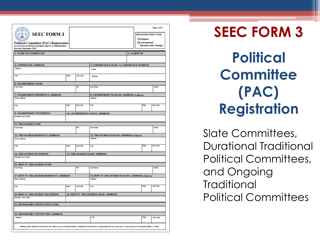| <b>SEEC FORM 3</b><br><b>Political Committee (PAC) Registration</b><br>STATE ELECTIONS ENFORCEMENT COMMISSION<br><b>Revised September 2012</b>                                               |       |                 |                                                                       | <b>REGISTRATION TYPE</b><br>$\Box$ Original<br>$\Box$ Amendment/ | Page 1 of 5<br><b>Biennial with Changes</b> |
|----------------------------------------------------------------------------------------------------------------------------------------------------------------------------------------------|-------|-----------------|-----------------------------------------------------------------------|------------------------------------------------------------------|---------------------------------------------|
| <b>1. NAME OF COMMITTEE</b>                                                                                                                                                                  |       |                 |                                                                       | 2. ACRONYM                                                       |                                             |
|                                                                                                                                                                                              |       |                 |                                                                       |                                                                  |                                             |
| <b>3. COMMITTEE ADDRESS</b>                                                                                                                                                                  |       |                 | 4. COMMITTEE E-MAIL / 5. COMMITTEE WEBSITE                            |                                                                  |                                             |
| Address                                                                                                                                                                                      |       |                 | Email                                                                 |                                                                  |                                             |
| City                                                                                                                                                                                         | State | Zip Code        | Website                                                               |                                                                  |                                             |
| <b>6. CHAIRPERSON NAME</b>                                                                                                                                                                   |       |                 |                                                                       |                                                                  |                                             |
| <b>First Name</b>                                                                                                                                                                            |       | MI              | <b>Last Name</b>                                                      |                                                                  | Suffix                                      |
| <b>7. CHAIRPERSON RESIDENCE ADDRESS</b>                                                                                                                                                      |       |                 | <b>8. CHAIRPERSON MAILING ADDRESS (If different)</b>                  |                                                                  |                                             |
| <b>Street Address</b>                                                                                                                                                                        |       |                 | <b>Address</b>                                                        |                                                                  |                                             |
| City                                                                                                                                                                                         | State | <b>Zip Code</b> | City                                                                  | State                                                            | Zip Code                                    |
| 9. CHAIRPERSON TELEPHONE                                                                                                                                                                     |       |                 | <b>10. CHAIRPERSON E-MAIL ADDRESS</b>                                 |                                                                  |                                             |
| (Include Area Code)                                                                                                                                                                          |       |                 |                                                                       |                                                                  |                                             |
| <b>11. TREASURER NAME</b>                                                                                                                                                                    |       |                 |                                                                       |                                                                  |                                             |
| <b>First Name</b>                                                                                                                                                                            |       | MI              | <b>Last Name</b>                                                      |                                                                  | Suffix                                      |
| <b>12. TREASURER RESIDENCE ADDRESS</b>                                                                                                                                                       |       |                 | <b>13. TREASURER MAILING ADDRESS (If different)</b><br><b>Address</b> |                                                                  |                                             |
| <b>Street Address</b>                                                                                                                                                                        |       |                 |                                                                       |                                                                  |                                             |
| City                                                                                                                                                                                         | State | <b>Zip Code</b> | City                                                                  | State                                                            | <b>Zip Code</b>                             |
| <b>14. TREASURER TELEPHONE</b>                                                                                                                                                               |       |                 | <b>15. TREASURER E-MAIL ADDRESS</b>                                   |                                                                  |                                             |
| (Include Area Code)                                                                                                                                                                          |       |                 |                                                                       |                                                                  |                                             |
| <b>16. DEPUTY TREASURER NAME</b>                                                                                                                                                             |       |                 |                                                                       |                                                                  |                                             |
| <b>First Name</b>                                                                                                                                                                            |       | MI              | <b>Last Name</b>                                                      |                                                                  | Suffix                                      |
| <b>17. DEPUTY TREASURER RESIDENCE ADDRESS</b>                                                                                                                                                |       |                 | 18. DEPUTY TREASURER MAILING ADDRESS (If different)                   |                                                                  |                                             |
| <b>Street Address</b>                                                                                                                                                                        |       |                 | Address                                                               |                                                                  |                                             |
| City                                                                                                                                                                                         | State | Zip Code        | City                                                                  | State                                                            | <b>Zip Code</b>                             |
| <b>19. DEPUTY TREASURER TELEPHONE</b>                                                                                                                                                        |       |                 | 20. DEPUTY TREASURER E-MAIL ADDRESS                                   |                                                                  |                                             |
| (Include Area Code)                                                                                                                                                                          |       |                 |                                                                       |                                                                  |                                             |
| 21. DEPOSITORY INSTITUTION NAME                                                                                                                                                              |       |                 |                                                                       |                                                                  |                                             |
|                                                                                                                                                                                              |       |                 |                                                                       |                                                                  |                                             |
| 22. DEPOSITORY INSTITUTION ADDRESS                                                                                                                                                           |       |                 |                                                                       |                                                                  |                                             |
| <b>Address</b>                                                                                                                                                                               |       |                 | City                                                                  | State                                                            | Zip Code                                    |
| Making a false statement on this form may subject you to criminal penalties, including but not limited to, imprisonment for up to one year or a fine of up to two thousand dollars, or both. |       |                 |                                                                       |                                                                  |                                             |

**SEEC FORM 3 Political Committee (PAC) Registration**

Slate Committees, Durational Traditional Political Committees, and Ongoing **Traditional** Political Committees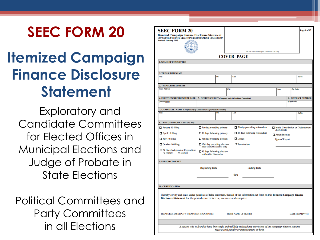### **SEEC FORM 20**

## **Itemized Campaign Finance Disclosure Statement**

Exploratory and Candidate Committees for Elected Offices in Municipal Elections and Judge of Probate in State Elections

Political Committees and Party Committees in all Elections

| <b>SEEC FORM 20</b><br><b>Itemized Campaign Finance Disclosure Statement</b><br><b>CONNECTICUT STATE ELECTIONS ENFORCEMENT COMMISSION</b><br><b>Revised January 2015</b> |                                                                       |      | Do Not Mark in This Space For Official Use Only                                                                                         |                        |                 | Page 1 of 17                         |
|--------------------------------------------------------------------------------------------------------------------------------------------------------------------------|-----------------------------------------------------------------------|------|-----------------------------------------------------------------------------------------------------------------------------------------|------------------------|-----------------|--------------------------------------|
|                                                                                                                                                                          |                                                                       |      | <b>COVER PAGE</b>                                                                                                                       |                        |                 |                                      |
| <b>1. NAME OF COMMITTEE</b>                                                                                                                                              |                                                                       |      |                                                                                                                                         |                        |                 |                                      |
|                                                                                                                                                                          |                                                                       |      |                                                                                                                                         |                        |                 |                                      |
| <b>2. TREASURER NAME</b>                                                                                                                                                 |                                                                       |      |                                                                                                                                         |                        |                 |                                      |
| First                                                                                                                                                                    |                                                                       | MI   | Last                                                                                                                                    |                        |                 | Suffix                               |
| <b>3. TREASURER ADDRESS</b>                                                                                                                                              |                                                                       |      |                                                                                                                                         |                        |                 |                                      |
| <b>Street Address</b>                                                                                                                                                    |                                                                       | City |                                                                                                                                         | State                  | Zip Code        |                                      |
|                                                                                                                                                                          |                                                                       |      |                                                                                                                                         |                        |                 |                                      |
| 4. ELECTION/REFERENDUM DATE 5. OFFICE SOUGHT (Complete only if Candidate Committee)<br>(mm/dd/yyyy)                                                                      |                                                                       |      |                                                                                                                                         |                        | (if applicable) | <b>6. DISTRICT NUMBER</b>            |
|                                                                                                                                                                          |                                                                       |      |                                                                                                                                         |                        |                 |                                      |
| 7. CANDIDATE NAME (Complete only if Candidate or Exploratory Committee)                                                                                                  |                                                                       |      |                                                                                                                                         |                        |                 |                                      |
| First                                                                                                                                                                    |                                                                       | M    | Last                                                                                                                                    |                        |                 | Suffix                               |
| <b>8. TYPE OF REPORT (Check One Box)</b>                                                                                                                                 |                                                                       |      |                                                                                                                                         |                        |                 |                                      |
| January 10 filing                                                                                                                                                        | 7th day preceding primary                                             |      | 7th day preceding referendum                                                                                                            |                        |                 | Initial Contribution or Disbursement |
|                                                                                                                                                                          |                                                                       |      |                                                                                                                                         | (PACs ONLY)            |                 |                                      |
| April 10 filing                                                                                                                                                          | $\Box$ 30 days following primary                                      |      | 45 days following referendum                                                                                                            | Amendment to           |                 |                                      |
| $\Box$ July 10 filing                                                                                                                                                    | $\Box$ 7th day preceding election                                     |      | $\Box$ Deficit                                                                                                                          | <b>Type of Report:</b> |                 |                                      |
| October 10 filing                                                                                                                                                        | $\Box$ 12th day preceding election<br>(State Central Committees Only) |      | $\Box$ Termination                                                                                                                      |                        |                 |                                      |
| $\Box$ 24 Hour Independent Expenditure<br>O Primary<br>O Election                                                                                                        | $\Box$ 45 days following election<br>not held in November             |      |                                                                                                                                         |                        |                 |                                      |
| 9. PERIOD COVERED                                                                                                                                                        |                                                                       |      |                                                                                                                                         |                        |                 |                                      |
|                                                                                                                                                                          | <b>Beginning Date</b>                                                 |      | <b>Ending Date</b>                                                                                                                      |                        |                 |                                      |
|                                                                                                                                                                          |                                                                       |      |                                                                                                                                         |                        |                 |                                      |
|                                                                                                                                                                          |                                                                       |      | thru                                                                                                                                    |                        |                 |                                      |
|                                                                                                                                                                          |                                                                       |      |                                                                                                                                         |                        |                 |                                      |
| <b>10. CERTIFICATION</b>                                                                                                                                                 |                                                                       |      |                                                                                                                                         |                        |                 |                                      |
| Disclosure Statement for the period covered is true, accurate and complete.                                                                                              |                                                                       |      | I hereby certify and state, under penalties of false statement, that all of the information set forth on this Itemized Campaign Finance |                        |                 |                                      |
| TREASURER OR DEPUTY TREASURER (SIGNATURE)                                                                                                                                |                                                                       |      | PRINT NAME OF SIGNER                                                                                                                    |                        |                 | DATE (mm/dd/yyyy)                    |
|                                                                                                                                                                          |                                                                       |      |                                                                                                                                         |                        |                 |                                      |
|                                                                                                                                                                          |                                                                       |      | A person who is found to have knowingly and willfully violated any provisions of the campaign finance statutes                          |                        |                 |                                      |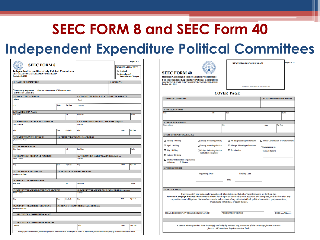### **SEEC FORM 8 and SEEC Form 40**

#### **Independent Expenditure Political Committees**

| <b>SEEC FORM 8</b><br><b>Independent Expenditure Only Political Committees</b><br><b>STATE ELECTIONS ENFORCEMENT COMMISSION</b><br><b>Revised July 2014</b> |       |                 |                                                         | Page 1 of 5<br><b>REGISTRATION TYPE</b><br>$\Box$ Original<br>$\Box$ Amendment/<br><b>Biennial with Changes</b> |  |
|-------------------------------------------------------------------------------------------------------------------------------------------------------------|-------|-----------------|---------------------------------------------------------|-----------------------------------------------------------------------------------------------------------------|--|
| <b>1. NAME OF COMMITTEE</b>                                                                                                                                 |       |                 |                                                         | 2. ACRONYM                                                                                                      |  |
| Name of previous committee (if different from above)<br><b>Previously Registered</b><br>as Different Committee                                              |       |                 |                                                         |                                                                                                                 |  |
| <b>3. COMMITTEE ADDRESS</b>                                                                                                                                 |       |                 | 4. COMMITTEE E-MAIL / 5. COMMITTEE WEBSITE              |                                                                                                                 |  |
| <b>Address</b>                                                                                                                                              |       |                 | Email                                                   |                                                                                                                 |  |
| City                                                                                                                                                        | State | <b>Zip Code</b> | Website                                                 |                                                                                                                 |  |
| <b>6. CHAIRPERSON NAME</b>                                                                                                                                  |       |                 |                                                         |                                                                                                                 |  |
| <b>First Name</b>                                                                                                                                           |       | MI              | <b>Last Name</b>                                        | Suffix                                                                                                          |  |
| 7. CHAIRPERSON RESIDENCE ADDRESS                                                                                                                            |       |                 | <b>8. CHAIRPERSON MAILING ADDRESS (If different)</b>    |                                                                                                                 |  |
| <b>Street Address</b>                                                                                                                                       |       |                 | <b>Address</b>                                          |                                                                                                                 |  |
| City                                                                                                                                                        | State | Zip Code        | City                                                    | State<br><b>Zip Code</b>                                                                                        |  |
| <b>9. CHAIRPERSON TELEPHONE</b>                                                                                                                             |       |                 | <b>10. CHAIRPERSON E-MAIL ADDRESS</b>                   |                                                                                                                 |  |
| <b>11. TREASURER NAME</b><br><b>First Name</b>                                                                                                              |       | MI              | <b>Last Name</b>                                        | Suffix                                                                                                          |  |
| <b>12. TREASURER RESIDENCE ADDRESS</b><br><b>Street Address</b>                                                                                             |       |                 | 13. TREASURER MAILING ADDRESS (If different)<br>Address |                                                                                                                 |  |
| City                                                                                                                                                        | State | Zip Code        | City                                                    | Zip Code<br>State                                                                                               |  |
|                                                                                                                                                             |       |                 |                                                         |                                                                                                                 |  |
| <b>14. TREASURER TELEPHONE</b>                                                                                                                              |       |                 | <b>15. TREASURER E-MAIL ADDRESS</b>                     |                                                                                                                 |  |
| (Include Area Code)                                                                                                                                         |       |                 |                                                         |                                                                                                                 |  |
| <b>16. DEPUTY TREASURER NAME</b>                                                                                                                            |       |                 |                                                         |                                                                                                                 |  |
| <b>First Name</b>                                                                                                                                           |       | M               | <b>Last Name</b>                                        | Suffly                                                                                                          |  |
| <b>17. DEPUTY TREASURER RESIDENCE ADDRESS</b>                                                                                                               |       |                 | 18. DEPUTY TREASURER MAILING ADDRESS (If different)     |                                                                                                                 |  |
| <b>Street Address</b>                                                                                                                                       |       |                 | <b>Address</b>                                          |                                                                                                                 |  |
| City                                                                                                                                                        | State | <b>Zip Code</b> | City                                                    | <b>State</b><br><b>Zip Code</b>                                                                                 |  |
| <b>19. DEPUTY TREASURER TELEPHONE</b><br>(Include Area Code)                                                                                                |       |                 | <b>20. DEPUTY TREASURER E-MAIL ADDRESS</b>              |                                                                                                                 |  |
| <b>21. DEPOSITORY INSTITUTION NAME</b>                                                                                                                      |       |                 |                                                         |                                                                                                                 |  |
|                                                                                                                                                             |       |                 |                                                         |                                                                                                                 |  |
| <b>22. DEPOSITORY INSTITUTION ADDRESS</b>                                                                                                                   |       |                 |                                                         |                                                                                                                 |  |
|                                                                                                                                                             |       |                 |                                                         |                                                                                                                 |  |
| <b>Address</b>                                                                                                                                              |       |                 | City                                                    | <b>State</b><br><b>Zip Code</b>                                                                                 |  |

| <b>SEEC FORM 40</b><br><b>Itemized Campaign Finance Disclosure Statement</b><br><b>For Independent Expenditure Political Committees</b><br><b>CONNECTICUT STATE ELECTIONS ENFORCEMENT COMMISSION</b><br><b>Revised May 2016</b> |                                                           |                                                                                                                                                                                                                                                                                                                                                                                                                         |                                      |                   |
|---------------------------------------------------------------------------------------------------------------------------------------------------------------------------------------------------------------------------------|-----------------------------------------------------------|-------------------------------------------------------------------------------------------------------------------------------------------------------------------------------------------------------------------------------------------------------------------------------------------------------------------------------------------------------------------------------------------------------------------------|--------------------------------------|-------------------|
|                                                                                                                                                                                                                                 |                                                           | Do Not Mark in This Space For Official Use Only                                                                                                                                                                                                                                                                                                                                                                         |                                      |                   |
|                                                                                                                                                                                                                                 |                                                           | <b>COVER PAGE</b>                                                                                                                                                                                                                                                                                                                                                                                                       |                                      |                   |
| <b>1. NAME OF COMMITTEE</b>                                                                                                                                                                                                     |                                                           |                                                                                                                                                                                                                                                                                                                                                                                                                         | 2. ELECTION/REFERENDUM DATE          |                   |
| <b>3. TREASURER NAME</b>                                                                                                                                                                                                        |                                                           |                                                                                                                                                                                                                                                                                                                                                                                                                         |                                      |                   |
| First                                                                                                                                                                                                                           | МI                                                        | Last                                                                                                                                                                                                                                                                                                                                                                                                                    |                                      | Suffly            |
| <b>4. TREASURER ADDRESS</b>                                                                                                                                                                                                     |                                                           |                                                                                                                                                                                                                                                                                                                                                                                                                         |                                      |                   |
| <b>Street Address</b>                                                                                                                                                                                                           | City                                                      |                                                                                                                                                                                                                                                                                                                                                                                                                         | Zip Code<br>State                    |                   |
| 5. TYPE OF REPORT (Check One Box)                                                                                                                                                                                               |                                                           |                                                                                                                                                                                                                                                                                                                                                                                                                         |                                      |                   |
| Ianuary 10 filing                                                                                                                                                                                                               | 7th day preceding primary                                 | 7th day preceding referendum                                                                                                                                                                                                                                                                                                                                                                                            | Initial Contribution or Disbursement |                   |
| April 10 filing                                                                                                                                                                                                                 | $\Box$ 7th day preceding election                         | 45 days following referendum                                                                                                                                                                                                                                                                                                                                                                                            | Amendment to                         |                   |
| $\Box$ July 10 filing                                                                                                                                                                                                           | $\Box$ 45 days following election<br>not held in November | $\Box$ Termination                                                                                                                                                                                                                                                                                                                                                                                                      | <b>Type of Report:</b>               |                   |
| October 10 filing                                                                                                                                                                                                               |                                                           |                                                                                                                                                                                                                                                                                                                                                                                                                         |                                      |                   |
| 24 Hour Independent Expenditure<br>O Election<br>O Primary                                                                                                                                                                      |                                                           |                                                                                                                                                                                                                                                                                                                                                                                                                         |                                      |                   |
| <b>6. PERIOD COVERED</b>                                                                                                                                                                                                        |                                                           |                                                                                                                                                                                                                                                                                                                                                                                                                         |                                      |                   |
|                                                                                                                                                                                                                                 | <b>Beginning Date</b>                                     | <b>Ending Date</b>                                                                                                                                                                                                                                                                                                                                                                                                      |                                      |                   |
|                                                                                                                                                                                                                                 |                                                           | thru                                                                                                                                                                                                                                                                                                                                                                                                                    |                                      |                   |
|                                                                                                                                                                                                                                 |                                                           |                                                                                                                                                                                                                                                                                                                                                                                                                         |                                      |                   |
| 7. CERTIFICATION                                                                                                                                                                                                                |                                                           |                                                                                                                                                                                                                                                                                                                                                                                                                         |                                      |                   |
|                                                                                                                                                                                                                                 |                                                           | I hereby certify and state, under penalties of false statement, that all of the information set forth on this<br>Itemized Campaign Finance Disclosure Statement for the period covered is true, accurate and complete, and further that any<br>expenditures and obligations disclosed were made independent of any other individual, political committee, party committee,<br>or candidate committee, or agent thereof. |                                      |                   |
| TREASURER OR DEPUTY TREASURER (SIGNATURE)                                                                                                                                                                                       |                                                           | PRINT NAME OF SIGNER                                                                                                                                                                                                                                                                                                                                                                                                    |                                      | DATE (mm/dd/yyyy) |
|                                                                                                                                                                                                                                 |                                                           | A person who is found to have knowingly and willfully violated any provisions of the campaign finance statutes<br>faces a civil penalty or imprisonment or both.                                                                                                                                                                                                                                                        |                                      |                   |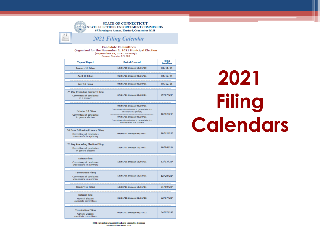

**Candidate Committees** Organized for the November 2, 2021 Municipal Election (September 14, 2021 Primary) General Statutes § 9-608

| <b>Type of Report</b>                                                                            | <b>Period Covered</b>                                                                                                                                                                                        |                       |
|--------------------------------------------------------------------------------------------------|--------------------------------------------------------------------------------------------------------------------------------------------------------------------------------------------------------------|-----------------------|
| <b>January 10 Filing</b>                                                                         | 10/01/20 through 12/31/20                                                                                                                                                                                    | 01/11/21              |
| <b>April 10 Filing</b>                                                                           | 01/01/21 through 03/31/21                                                                                                                                                                                    | 04/12/21              |
| July 10 Filing                                                                                   | 04/01/21 through 06/30/21                                                                                                                                                                                    | 07/12/21              |
| 7 <sup>th</sup> Day Preceding Primary Filing<br>Committees of candidates<br>in a primary         | 07/01/21 through 09/05/21                                                                                                                                                                                    | 09/07/211             |
|                                                                                                  |                                                                                                                                                                                                              |                       |
| October 10 Filina<br>Committees of candidates<br>in general election                             | 09/06/21 through 09/30/21<br>Committees of candidates in general election<br>who were in a primary<br>07/01/21 through 09/30/21<br>Committees of candidates in general election<br>who were not in a primary | 10/12/21 <sup>2</sup> |
|                                                                                                  |                                                                                                                                                                                                              |                       |
| <b>30 Days Following Primary Filing</b><br>Committees of candidates<br>unsuccessful in a primary | 09/06/21 through 09/30/21                                                                                                                                                                                    | 10/12/21 <sup>3</sup> |
|                                                                                                  |                                                                                                                                                                                                              |                       |
| 7 <sup>th</sup> Day Preceding Election Filing<br>Committees of candidates<br>in general election | 10/01/21 through 10/24/21                                                                                                                                                                                    | 10/26/21 <sup>2</sup> |
|                                                                                                  |                                                                                                                                                                                                              |                       |
| <b>Deficit Filing</b><br>Committees of candidates<br>unsuccessful in a primary                   | 10/01/21 through 12/06/21                                                                                                                                                                                    | 12/13/21 <sup>4</sup> |
|                                                                                                  |                                                                                                                                                                                                              |                       |
| <b>Termination Filing</b><br>Committees of candidates<br>unsuccessful in a primary               | 10/01/21 through 12/13/21                                                                                                                                                                                    | $12/20/21^{5}$        |
|                                                                                                  |                                                                                                                                                                                                              |                       |
| <b>January 10 Filing</b>                                                                         | 10/25/21 through 12/31/21                                                                                                                                                                                    | $01/10/22^6$          |
|                                                                                                  |                                                                                                                                                                                                              |                       |
| <b>Deficit Filina</b><br><b>General Election</b><br>candidate committees                         | 01/01/22 through 01/31/22                                                                                                                                                                                    | 02/07/22              |
|                                                                                                  |                                                                                                                                                                                                              |                       |
| <b>Termination Filing</b><br><b>General Election</b><br>candidate committees                     | 01/01/22 through 03/31/22                                                                                                                                                                                    | 04/07/228             |

2021 November Municipal Candidate Committee Calendar last revised December 2020

**2021 Filing Calendars**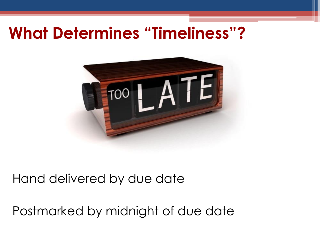## **What Determines "Timeliness"?**



#### Hand delivered by due date

Postmarked by midnight of due date